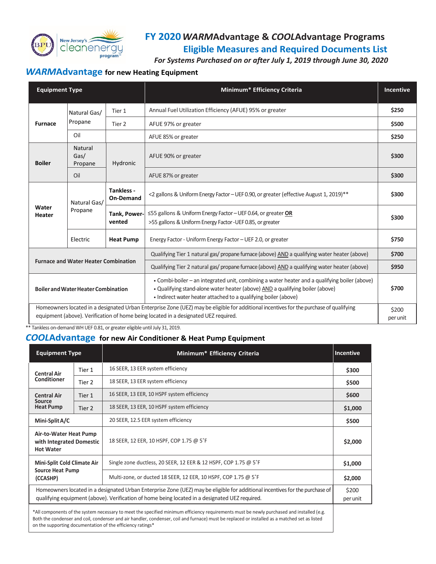

## **FY 2020***WARM***Advantage &** *COOL***Advantage Programs Eligible Measures and Required Documents List**

 *For Systems Purchased on or after July 1, 2019 through June 30, 2020*

## *WARM***Advantage for new Heating Equipment**

| <b>Equipment Type</b>                                                                                                                                                                                                          |                            |                                | Minimum* Efficiency Criteria                                                                                                                                                                                                                      | <b>Incentive</b> |
|--------------------------------------------------------------------------------------------------------------------------------------------------------------------------------------------------------------------------------|----------------------------|--------------------------------|---------------------------------------------------------------------------------------------------------------------------------------------------------------------------------------------------------------------------------------------------|------------------|
| <b>Furnace</b>                                                                                                                                                                                                                 | Natural Gas/<br>Propane    | Tier 1                         | Annual Fuel Utilization Efficiency (AFUE) 95% or greater                                                                                                                                                                                          | \$250            |
|                                                                                                                                                                                                                                |                            | Tier 2                         | AFUE 97% or greater                                                                                                                                                                                                                               | \$500            |
|                                                                                                                                                                                                                                | Oil                        |                                | AFUE 85% or greater                                                                                                                                                                                                                               | \$250            |
| <b>Boiler</b>                                                                                                                                                                                                                  | Natural<br>Gas/<br>Propane | Hydronic                       | AFUE 90% or greater                                                                                                                                                                                                                               | \$300            |
|                                                                                                                                                                                                                                | Oil                        |                                | AFUE 87% or greater                                                                                                                                                                                                                               | \$300            |
| Water<br>Heater                                                                                                                                                                                                                | Natural Gas/<br>Propane    | Tankless -<br><b>On-Demand</b> | <2 gallons & Uniform Energy Factor - UEF 0.90, or greater (effective August 1, 2019)**                                                                                                                                                            | \$300            |
|                                                                                                                                                                                                                                |                            | Tank, Power-<br>vented         | $\leq$ 55 gallons & Uniform Energy Factor - UEF 0.64, or greater OR<br>>55 gallons & Uniform Energy Factor-UEF 0.85, or greater                                                                                                                   | \$300            |
|                                                                                                                                                                                                                                | Electric                   | <b>Heat Pump</b>               | Energy Factor - Uniform Energy Factor - UEF 2.0, or greater                                                                                                                                                                                       | \$750            |
| <b>Furnace and Water Heater Combination</b>                                                                                                                                                                                    |                            |                                | Qualifying Tier 1 natural gas/ propane furnace (above) AND a qualifying water heater (above)                                                                                                                                                      | \$700            |
|                                                                                                                                                                                                                                |                            |                                | Qualifying Tier 2 natural gas/ propane furnace (above) AND a qualifying water heater (above)                                                                                                                                                      | \$950            |
| <b>Boiler and Water Heater Combination</b>                                                                                                                                                                                     |                            |                                | . Combi-boiler - an integrated unit, combining a water heater and a qualifying boiler (above)<br>. Qualifying stand-alone water heater (above) AND a qualifying boiler (above)<br>• Indirect water heater attached to a qualifying boiler (above) | \$700            |
| Homeowners located in a designated Urban Enterprise Zone (UEZ) may be eligible for additional incentives for the purchase of qualifying<br>equipment (above). Verification of home being located in a designated UEZ required. |                            |                                |                                                                                                                                                                                                                                                   |                  |

\*\* Tankless on-demand WH UEF 0.81, or greater eligible until July 31, 2019.

### *COOL***Advantage for new Air Conditioner & Heat Pump Equipment**

| <b>Equipment Type</b>                                                                                                                                                                                                                                        |        | Minimum* Efficiency Criteria                                    | <b>Incentive</b> |  |
|--------------------------------------------------------------------------------------------------------------------------------------------------------------------------------------------------------------------------------------------------------------|--------|-----------------------------------------------------------------|------------------|--|
| <b>Central Air</b><br><b>Conditioner</b>                                                                                                                                                                                                                     | Tier 1 | 16 SEER, 13 EER system efficiency                               | \$300            |  |
|                                                                                                                                                                                                                                                              | Tier 2 | 18 SEER, 13 EER system efficiency                               | \$500            |  |
| <b>Central Air</b><br>Source<br><b>Heat Pump</b>                                                                                                                                                                                                             | Tier 1 | 16 SEER, 13 EER, 10 HSPF system efficiency                      | \$600            |  |
|                                                                                                                                                                                                                                                              | Tier 2 | 18 SEER, 13 EER, 10 HSPF system efficiency                      | \$1,000          |  |
| Mini-Split A/C                                                                                                                                                                                                                                               |        | 20 SEER, 12.5 EER system efficiency                             | \$500            |  |
| Air-to-Water Heat Pump<br>with Integrated Domestic<br><b>Hot Water</b>                                                                                                                                                                                       |        | 18 SEER, 12 EER, 10 HSPF, COP 1.75 @ 5°F                        | \$2,000          |  |
| Mini-Split Cold Climate Air<br><b>Source Heat Pump</b><br>(CCASHP)                                                                                                                                                                                           |        | Single zone ductless, 20 SEER, 12 EER & 12 HSPF, COP 1.75 @ 5°F | \$1,000          |  |
|                                                                                                                                                                                                                                                              |        | Multi-zone, or ducted 18 SEER, 12 EER, 10 HSPF, COP 1.75 @ 5°F  | \$2,000          |  |
| Homeowners located in a designated Urban Enterprise Zone (UEZ) may be eligible for additional incentives for the purchase of<br>qualifying equipment (above). Verification of home being located in a designated UEZ required.                               |        |                                                                 |                  |  |
| *All components of the system necessary to meet the specified minimum efficiency requirements must be newly purchased and installed (e.g.<br>rang and the second contract of the second contract of the second contract of the second contract of the second |        |                                                                 |                  |  |

Both the condenser and coil, condenser and air handler, condenser, coil and furnace) must be replaced or installed as a matched set as listed on the supporting documentation of the efficiency ratings\*